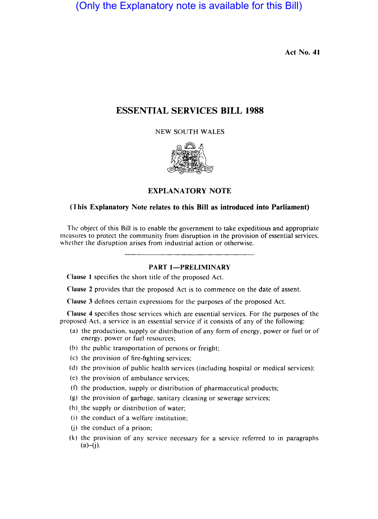(Only the Explanatory note is available for this Bill)

Act No. **41** 

# ESSENTIAL SERVICES **BILL 1988**

NEW SOUTH WALES



### EXPLANATORY NOTE

### (This Explanatory Note relates to this **Bill** as introduced into Parliament)

The object of this Bill is to enable the government to take expeditious and appropriate measures to protect the community from disruption in the provision of essential services, whether the disruption arises from industrial action or otherwise,

### **PART 1-PRELIMINARY**

Clause I specifies the short title of the proposed Act.

Clause 2 provides that the proposed Act is to commence on the date of assent.

Clause 3 defines certain expressions for the purposes of the proposed Act.

Clause 4 specifies those services which are essential services. For the purposes of the proposed Act, a service is an essential service if it consists of any of the following:

- (a) the production, supply or distribution of any form of energy, power or fuel or of energy, power or fuel resources;
- (b) the public transportation of persons or freight;
- (c) the provision of fire-fighting services;
- (d) the provision of public health services (including hospital or medical services);
- (c) the provision of ambulance services;
- (f) the production, supply or distribution of pharmaceutical products;
- (g) the provision of garbage, sanitary cleaning or sewerage services;
- (h) the supply or distribution of water;
- (i) the conduct of a welfare institution;
- $(i)$  the conduct of a prison;
- (k) the provision of any service necessary for a service referred to in paragraphs  $(a)$ – $(i)$ .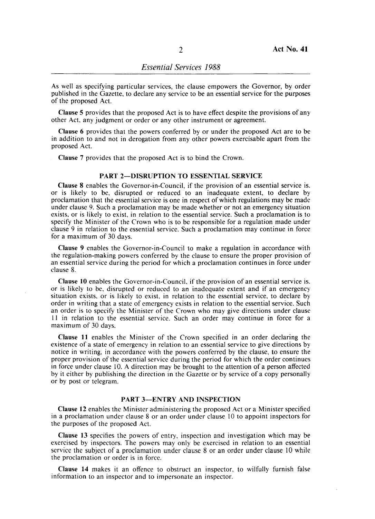As well as specifying particular services, the clause empowers the Governor, by order published in the Gazette, to declare any service to be an essential service for the purposes of the proposed Act.

Clause 5 provides that the proposed Act is to have effect despite the provisions of any other Act, any judgment or order or any other instrument or agreement.

Clause 6 provides that the powers conferred by or under the proposed Act are to be in addition to and not in derogation from any other powers exercisable apart from the proposed Act.

Clause 7 provides that the proposed Act is to bind the Crown.

### PART 2-DISRUPTION TO ESSENTIAL SERVICE

Clause 8 enables the Governor-in-Council, if the provision of an essential service is. or is likely to be, disrupted or reduced to an inadequate extent, to declare by proclamation that the essential service is one in respect of which regulations may be made under clause 9. Such a proclamation may be made whether or not an emergency situation exists. or is likely to exist, in relation to the essential service. Such a proclamation is to specify the Minister of the Crown who is to be responsible for a regulation made under clause 9 in relation to the essential service. Such a proclamation may continue in force for a maximum of 30 days.

Clause 9 enables the Governor-in-Council to make a regulation in accordance with the regulation-making powers conferred by the clause to ensure the proper provision of an essential service during the period for which a proclamation continues in force under clause 8.

Clause **10** enables the Governor-in-Council, if the provision of an essential service is, or is likely to be, disrupted or reduced to an inadequate extent and if an emergency situation exists, or is likely to exist. in relation to the essential service, to declare by order in writing that a state of emergency exists in relation to the essential service. Such an order is to specify the Minister of the Crown who may give directions under clause II in relation to the essential service. Such an order may continue in force for a maximum of 30 days.

Clause II enables the Minister of the Crown specified in an order declaring the existence of a state of emergency in relation to an essential service to give directions by notice in writing, in accordance with the powers conferred by the clause, to ensure the proper provision of the essential service during the period for which the order continues in force under clause 10. A direction may be brought to the attention of a person affected by it either by publishing the direction in the Gazette or by service of a copy personally or by post or telegram.

#### PART 3-ENTRY AND INSPECTION

Clause 12 enables the Minister administering the proposed Act or a Minister specified in a proclamation under clause 8 or an order under clause 10 to appoint inspectors for the purposes of the proposed Act.

Clause 13 specifies the powers of entry, inspection and investigation which may be exercised by inspectors. The powers may only be exercised in relation to an essential service the subject of a proclamation under clause 8 or an order under clause 10 while the proclamation or order is in force.

Clause **14** makes it an offence to obstruct an inspector, to wilfully furnish false information to an inspector and to impersonate an inspector.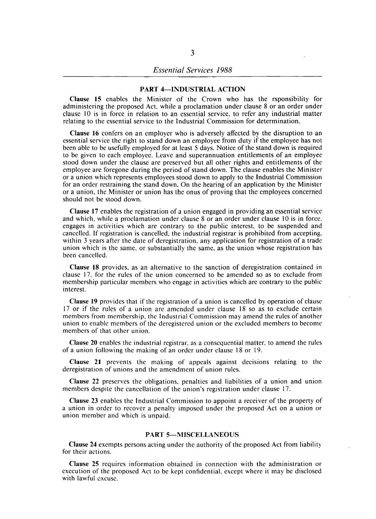### PART 4-INDUSTRIAL ACTION

Clause 15 enables the Minister of the Crown who has the rsponsibility for administering the proposed Act, while a proclamation under clause 8 or an order under clause 10 is in force in relation to an essential service, to refer any industrial matter relating to the essential service to the Industrial Commission for determination.

Clause 16 confers on an employer who is adversely affected by the disruption to an essential service the right to stand down an employee from duty if the employee has not been able to be usefully employed for at least 5 days. Notice of the stand down is required to be given to each employee. Leave and superannuation entitlements of an employee stood down under the clause are preserved but all other rights and entitlements of the employee are foregone during the period of stand down. The clause enables the Minister or a union which represents employees stood down to apply to the Industrial Commission for an order restraining the stand down. On the hearing of an application by the Minister or a union, the Minister or union has the onus of proving that the employees concerned should not be stood down.

Clause 17 enables the registration of a union engaged in providing an essential service and which, while a proclamation under clause 8 or an order under clause 10 is in force. engages in activities which are contrary to the public interest, to be suspended and cancelled. If registration is cancelled, the industrial registrar is prohibited from accepting. within 3 years after the date of deregistration, any application for registration of a trade union which is the same, or substantially the same, as the union whose registration has been cancelled.

Clause 18 provides, as an alternative to the sanction of deregistration contained in clause 17, for the rules of the union concerned to be amended so as to exclude from membership particular members who engage in activities which are contrary to the public interest.

Clause 19 provides that if the registration of a union is cancelled by operation of clause 17 or if the rules of a union are amended under clause 18 so as to exclude certain members from membership, the Industrial Commission may amend the rules of another union to enable members of the deregistered union or the excluded members to become members of that other union.

Clause 20 enables the industrial registrar, as a consequential matter, to amend the rules of a union following the making of an order under clause 18 or 19.

Clause 21 prevents the making of appeals against decisions relating to the deregistration of unions and the amendment of union rules.

Clause 22 preserves the obligations, penalties and liabilities of a union and union members despite the cancellation of the union's registration under clause 17.

Clause 23 enables the Industrial Commission to appoint a receiver of the property of a union in order to recover a penalty imposed under the proposed Act on a union or union member and which is unpaid.

#### PART 5-MISCELLANEOUS

Clause 24 exempts persons acting under the authority of the proposed Act from liability for their actions.

Clause 25 requires information obtained in connection with the administration or execution of the proposed Act to be kept confidential. except where it may be disclosed with lawful excuse.